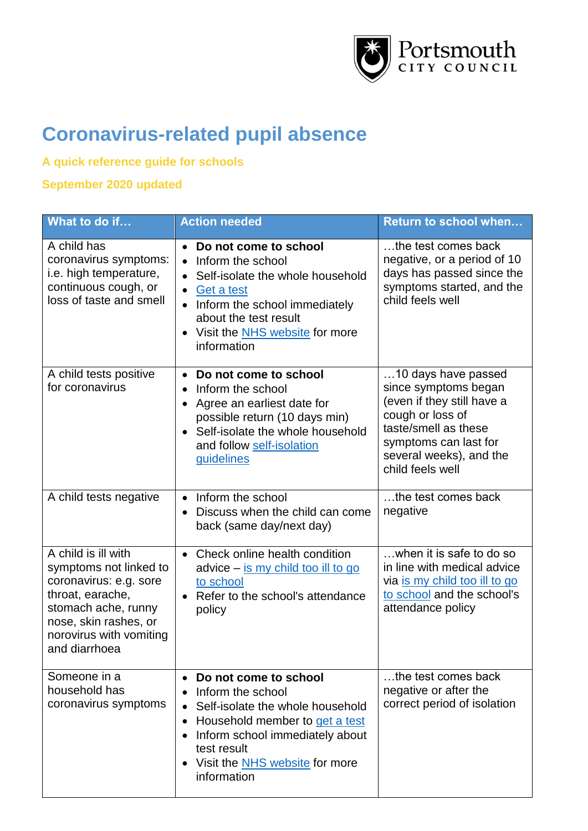

## **Coronavirus-related pupil absence**

## **A quick reference guide for schools**

## **September 2020 updated**

| What to do if                                                                                                                                                                           | <b>Action needed</b>                                                                                                                                                                                                                                                           | <b>Return to school when</b>                                                                                                                                                                  |
|-----------------------------------------------------------------------------------------------------------------------------------------------------------------------------------------|--------------------------------------------------------------------------------------------------------------------------------------------------------------------------------------------------------------------------------------------------------------------------------|-----------------------------------------------------------------------------------------------------------------------------------------------------------------------------------------------|
| A child has<br>coronavirus symptoms:<br>i.e. high temperature,<br>continuous cough, or<br>loss of taste and smell                                                                       | Do not come to school<br>$\bullet$<br>Inform the school<br>$\bullet$<br>Self-isolate the whole household<br>Get a test<br>$\bullet$<br>Inform the school immediately<br>$\bullet$<br>about the test result<br>Visit the <b>NHS</b> website for more<br>information             | the test comes back<br>negative, or a period of 10<br>days has passed since the<br>symptoms started, and the<br>child feels well                                                              |
| A child tests positive<br>for coronavirus                                                                                                                                               | Do not come to school<br>$\bullet$<br>Inform the school<br>$\bullet$<br>Agree an earliest date for<br>$\bullet$<br>possible return (10 days min)<br>Self-isolate the whole household<br>$\bullet$<br>and follow self-isolation<br><b>guidelines</b>                            | 10 days have passed<br>since symptoms began<br>(even if they still have a<br>cough or loss of<br>taste/smell as these<br>symptoms can last for<br>several weeks), and the<br>child feels well |
| A child tests negative                                                                                                                                                                  | Inform the school<br>$\bullet$<br>Discuss when the child can come<br>back (same day/next day)                                                                                                                                                                                  | the test comes back<br>negative                                                                                                                                                               |
| A child is ill with<br>symptoms not linked to<br>coronavirus: e.g. sore<br>throat, earache,<br>stomach ache, runny<br>nose, skin rashes, or<br>norovirus with vomiting<br>and diarrhoea | Check online health condition<br>$\bullet$<br>advice – is my child too ill to go<br>to school<br>Refer to the school's attendance<br>$\bullet$<br>policy                                                                                                                       | when it is safe to do so<br>in line with medical advice<br>via is my child too ill to go<br>to school and the school's<br>attendance policy                                                   |
| Someone in a<br>household has<br>coronavirus symptoms                                                                                                                                   | Do not come to school<br>$\bullet$<br>Inform the school<br>$\bullet$<br>Self-isolate the whole household<br>$\bullet$<br>Household member to get a test<br>$\bullet$<br>Inform school immediately about<br>test result<br>Visit the <b>NHS</b> website for more<br>information | the test comes back<br>negative or after the<br>correct period of isolation                                                                                                                   |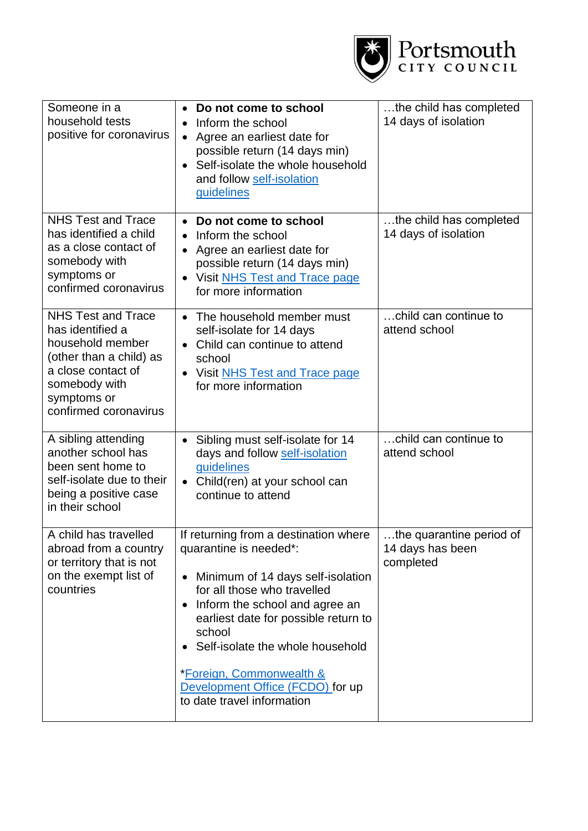

| Someone in a<br>household tests<br>positive for coronavirus                                                                                                                 | Do not come to school<br>$\bullet$<br>Inform the school<br>$\bullet$<br>Agree an earliest date for<br>$\bullet$<br>possible return (14 days min)<br>Self-isolate the whole household<br>$\bullet$<br>and follow self-isolation<br><b>guidelines</b>                                                                                                                                              | the child has completed<br>14 days of isolation           |
|-----------------------------------------------------------------------------------------------------------------------------------------------------------------------------|--------------------------------------------------------------------------------------------------------------------------------------------------------------------------------------------------------------------------------------------------------------------------------------------------------------------------------------------------------------------------------------------------|-----------------------------------------------------------|
| <b>NHS Test and Trace</b><br>has identified a child<br>as a close contact of<br>somebody with<br>symptoms or<br>confirmed coronavirus                                       | Do not come to school<br>$\bullet$<br>Inform the school<br>Agree an earliest date for<br>$\bullet$<br>possible return (14 days min)<br>Visit NHS Test and Trace page<br>$\bullet$<br>for more information                                                                                                                                                                                        | the child has completed<br>14 days of isolation           |
| <b>NHS Test and Trace</b><br>has identified a<br>household member<br>(other than a child) as<br>a close contact of<br>somebody with<br>symptoms or<br>confirmed coronavirus | The household member must<br>self-isolate for 14 days<br>Child can continue to attend<br>$\bullet$<br>school<br>Visit NHS Test and Trace page<br>for more information                                                                                                                                                                                                                            | child can continue to<br>attend school                    |
| A sibling attending<br>another school has<br>been sent home to<br>self-isolate due to their<br>being a positive case<br>in their school                                     | Sibling must self-isolate for 14<br>$\bullet$<br>days and follow self-isolation<br>guidelines<br>Child(ren) at your school can<br>$\bullet$<br>continue to attend                                                                                                                                                                                                                                | child can continue to<br>attend school                    |
| A child has travelled<br>abroad from a country<br>or territory that is not<br>on the exempt list of<br>countries                                                            | If returning from a destination where<br>quarantine is needed*:<br>Minimum of 14 days self-isolation<br>$\bullet$<br>for all those who travelled<br>Inform the school and agree an<br>$\bullet$<br>earliest date for possible return to<br>school<br>Self-isolate the whole household<br>$\bullet$<br>*Foreign, Commonwealth &<br>Development Office (FCDO) for up<br>to date travel information | the quarantine period of<br>14 days has been<br>completed |